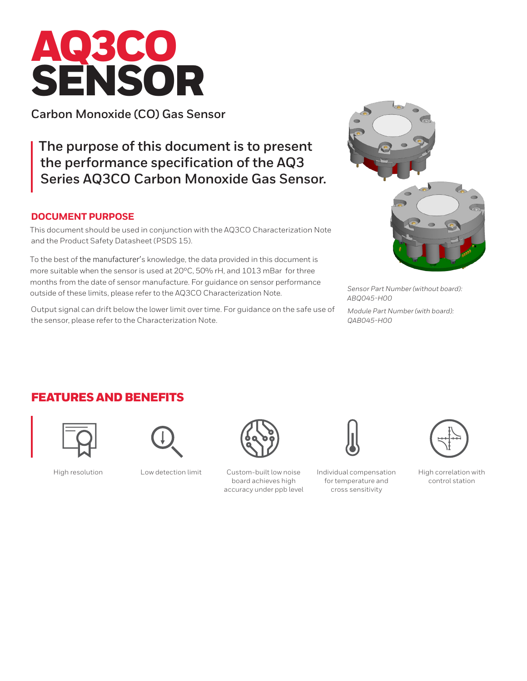# AQ3CO SENSOR

**Carbon Monoxide (CO) Gas Sensor**

**The purpose of this document is to present the performance specification of the AQ3 Series AQ3CO Carbon Monoxide Gas Sensor.** 

#### **DOCUMENT PURPOSE**

This document should be used in conjunction with the AQ3CO Characterization Note and the Product Safety Datasheet (PSDS 15).

To the best of the manufacturer's knowledge, the data provided in this document is more suitable when the sensor is used at 20°C, 50% rH, and 1013 mBar for three months from the date of sensor manufacture. For guidance on sensor performance outside of these limits, please refer to the AQ3CO Characterization Note.

Output signal can drift below the lower limit over time. For guidance on the safe use of the sensor, please refer to the Characterization Note.



*Sensor Part Number (without board): ABQ045-H00*

*Module Part Number (with board): QAB045-H00*

## FEATURES AND BENEFITS







High resolution Low detection limit Custom-built low noise board achieves high accuracy under ppb level



Individual compensation for temperature and cross sensitivity



High correlation with control station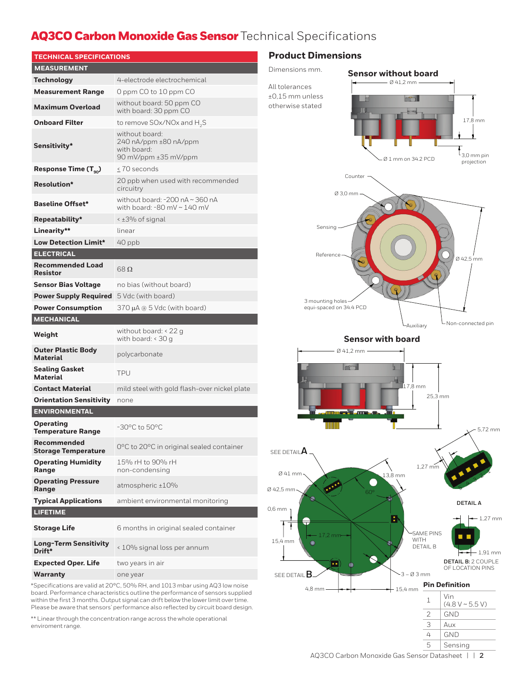## AQ3CO Carbon Monoxide Gas Sensor Technical Specifications

| <b>TECHNICAL SPECIFICATIONS</b>              |                                                                                |  |
|----------------------------------------------|--------------------------------------------------------------------------------|--|
| <b>MEASUREMENT</b>                           |                                                                                |  |
| Technology                                   | 4-electrode electrochemical                                                    |  |
| <b>Measurement Range</b>                     | 0 ppm CO to 10 ppm CO                                                          |  |
| <b>Maximum Overload</b>                      | without board: 50 ppm CO<br>with board: 30 ppm CO                              |  |
| <b>Onboard Filter</b>                        | to remove SOx/NOx and H <sub>2</sub> S                                         |  |
| Sensitivity*                                 | without board:<br>240 nA/ppm ±80 nA/ppm<br>with board:<br>90 mV/ppm ±35 mV/ppm |  |
| Response Time $(T_{\text{eq}})$              | < 70 seconds                                                                   |  |
| <b>Resolution*</b>                           | 20 ppb when used with recommended<br>circuitry                                 |  |
| <b>Baseline Offset*</b>                      | without board: -200 nA ~ 360 nA<br>with board: $-80$ mV $\sim$ 140 mV          |  |
| Repeatability*                               | < ±3% of signal                                                                |  |
| Linearity**                                  | linear                                                                         |  |
| <b>Low Detection Limit*</b>                  | $40$ ppb                                                                       |  |
| <b>ELECTRICAL</b>                            |                                                                                |  |
| <b>Recommended Load</b><br><b>Resistor</b>   | 68 $\Omega$                                                                    |  |
| <b>Sensor Bias Voltage</b>                   | no bias (without board)                                                        |  |
| <b>Power Supply Required</b>                 | 5 Vdc (with board)                                                             |  |
| <b>Power Consumption</b>                     | 370 μA @ 5 Vdc (with board)                                                    |  |
| <b>MECHANICAL</b>                            |                                                                                |  |
| Weight                                       | without board: $<$ 22 g<br>with board: $<$ 30 g                                |  |
| <b>Outer Plastic Body</b><br><b>Material</b> | polycarbonate                                                                  |  |
| <b>Sealing Gasket</b><br><b>Material</b>     | <b>TPU</b>                                                                     |  |
| <b>Contact Material</b>                      | mild steel with gold flash-over nickel plate                                   |  |
| <b>Orientation Sensitivity</b>               | none                                                                           |  |
| <b>ENVIRONMENTAL</b>                         |                                                                                |  |
| <b>Operating</b><br><b>Temperature Range</b> | $-30^{\circ}$ C to $50^{\circ}$ C                                              |  |
| Recommended<br><b>Storage Temperature</b>    | $0^{\circ}$ C to 20 $^{\circ}$ C in original sealed container                  |  |
| <b>Operating Humidity</b><br>Range           | 15% rH to 90% rH<br>non-condensing                                             |  |
| <b>Operating Pressure</b><br>Range           | atmospheric ±10%                                                               |  |
| <b>Typical Applications</b>                  | ambient environmental monitoring                                               |  |
| <b>LIFETIME</b>                              |                                                                                |  |
| <b>Storage Life</b>                          | 6 months in original sealed container                                          |  |
| <b>Long-Term Sensitivity</b>                 |                                                                                |  |
| Drift*                                       | < 10% signal loss per annum                                                    |  |
| <b>Expected Oper. Life</b>                   | two years in air                                                               |  |

\*Specifications are valid at 20°C, 50% RH, and 1013 mbar using AQ3 low noise board. Performance characteristics outline the performance of sensors supplied within the first 3 months. Output signal can drift below the lower limit over time. Please be aware that sensors' performance also reflected by circuit board design.

\*\* Linear through the concentration range across the whole operational enviroment range.

#### **Product Dimensions**

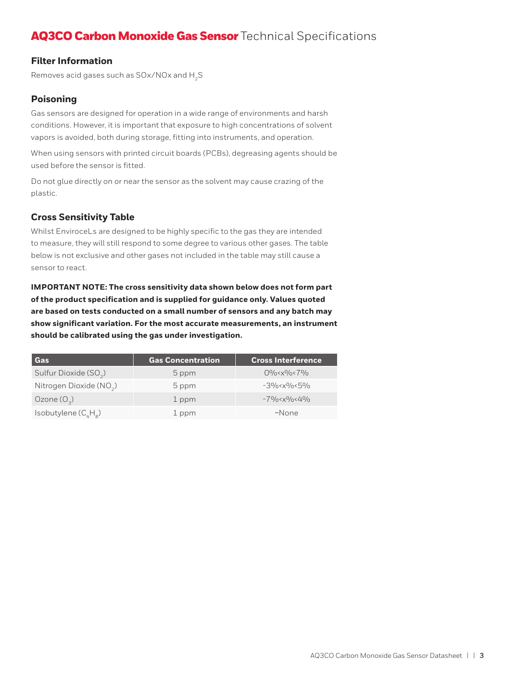# AQ3CO Carbon Monoxide Gas Sensor Technical Specifications

#### **Filter Information**

Removes acid gases such as  $SOx/NOx$  and  $H_2S$ 

#### **Poisoning**

Gas sensors are designed for operation in a wide range of environments and harsh conditions. However, it is important that exposure to high concentrations of solvent vapors is avoided, both during storage, fitting into instruments, and operation.

When using sensors with printed circuit boards (PCBs), degreasing agents should be used before the sensor is fitted.

Do not glue directly on or near the sensor as the solvent may cause crazing of the plastic.

#### **Cross Sensitivity Table**

Whilst EnviroceLs are designed to be highly specific to the gas they are intended to measure, they will still respond to some degree to various other gases. The table below is not exclusive and other gases not included in the table may still cause a sensor to react.

**IMPORTANT NOTE: The cross sensitivity data shown below does not form part of the product specification and is supplied for guidance only. Values quoted are based on tests conducted on a small number of sensors and any batch may show significant variation. For the most accurate measurements, an instrument should be calibrated using the gas under investigation.** 

| Gas                                 | <b>Gas Concentration</b> | <b>Cross Interference</b>                                                                                                                                                                                                    |
|-------------------------------------|--------------------------|------------------------------------------------------------------------------------------------------------------------------------------------------------------------------------------------------------------------------|
| Sulfur Dioxide (SO <sub>2</sub> )   | 5 ppm                    | $0\% < x\% < 7\%$                                                                                                                                                                                                            |
| Nitrogen Dioxide (NO <sub>2</sub> ) | 5 ppm                    | $-3\%$ < x \cdot \cdot \cdot \cdot \cdot \cdot \cdot \cdot \cdot \cdot \cdot \cdot \cdot \cdot \cdot \cdot \cdot \cdot \cdot \cdot \cdot \cdot \cdot \cdot \cdot \cdot \cdot \cdot \cdot \cdot \cdot \cdot \cdot \cdot \cdot |
| Ozone $(O_3)$                       | 1 ppm                    | $-79$ /0< $x9$ /0< $49$ /0                                                                                                                                                                                                   |
| Isobutylene $(C_A H_a)$             | 1 ppm                    | $~\sim$ None                                                                                                                                                                                                                 |